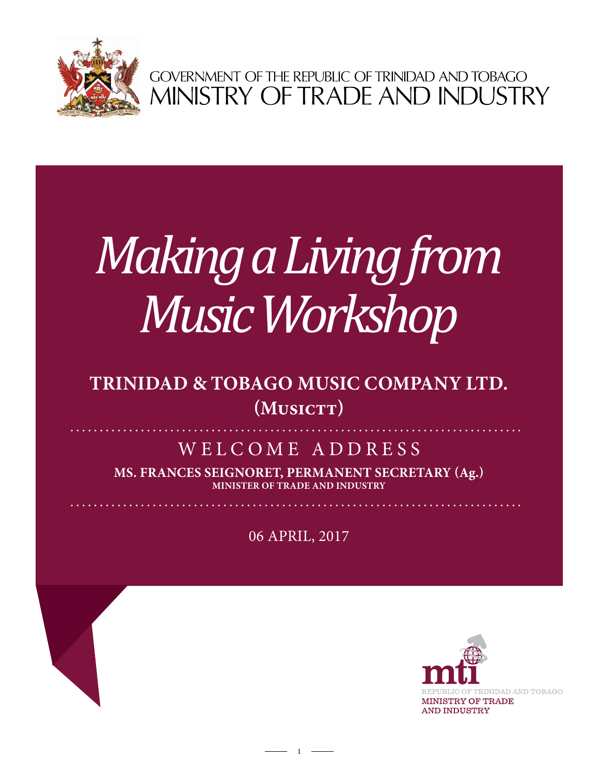

GOVERNMENT OF THE REPUBLIC OF TRINIDAD AND TOBAGO<br>MINISTRY OF TRADE AND INDUSTRY

## *Making a Living from Music Workshop*

## **Trinidad & Tobago Music Company ltd.**  $(MusICT)$

## WELCOME ADDRESS

**Ms. Frances Seignoret, Permanent Secretary (Ag.) Minister of Trade and Industry**

06 April, 2017

 $1 -$ 

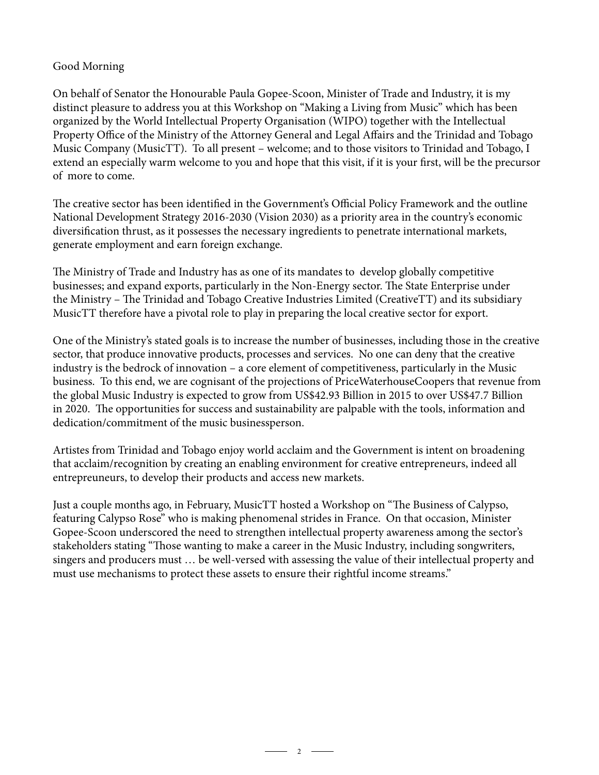## Good Morning

On behalf of Senator the Honourable Paula Gopee-Scoon, Minister of Trade and Industry, it is my distinct pleasure to address you at this Workshop on "Making a Living from Music" which has been organized by the World Intellectual Property Organisation (WIPO) together with the Intellectual Property Office of the Ministry of the Attorney General and Legal Affairs and the Trinidad and Tobago Music Company (MusicTT). To all present – welcome; and to those visitors to Trinidad and Tobago, I extend an especially warm welcome to you and hope that this visit, if it is your first, will be the precursor of more to come.

The creative sector has been identified in the Government's Official Policy Framework and the outline National Development Strategy 2016-2030 (Vision 2030) as a priority area in the country's economic diversification thrust, as it possesses the necessary ingredients to penetrate international markets, generate employment and earn foreign exchange.

The Ministry of Trade and Industry has as one of its mandates to develop globally competitive businesses; and expand exports, particularly in the Non-Energy sector. The State Enterprise under the Ministry – The Trinidad and Tobago Creative Industries Limited (CreativeTT) and its subsidiary MusicTT therefore have a pivotal role to play in preparing the local creative sector for export.

One of the Ministry's stated goals is to increase the number of businesses, including those in the creative sector, that produce innovative products, processes and services. No one can deny that the creative industry is the bedrock of innovation – a core element of competitiveness, particularly in the Music business. To this end, we are cognisant of the projections of PriceWaterhouseCoopers that revenue from the global Music Industry is expected to grow from US\$42.93 Billion in 2015 to over US\$47.7 Billion in 2020. The opportunities for success and sustainability are palpable with the tools, information and dedication/commitment of the music businessperson.

Artistes from Trinidad and Tobago enjoy world acclaim and the Government is intent on broadening that acclaim/recognition by creating an enabling environment for creative entrepreneurs, indeed all entrepreuneurs, to develop their products and access new markets.

Just a couple months ago, in February, MusicTT hosted a Workshop on "The Business of Calypso, featuring Calypso Rose" who is making phenomenal strides in France. On that occasion, Minister Gopee-Scoon underscored the need to strengthen intellectual property awareness among the sector's stakeholders stating "Those wanting to make a career in the Music Industry, including songwriters, singers and producers must … be well-versed with assessing the value of their intellectual property and must use mechanisms to protect these assets to ensure their rightful income streams."